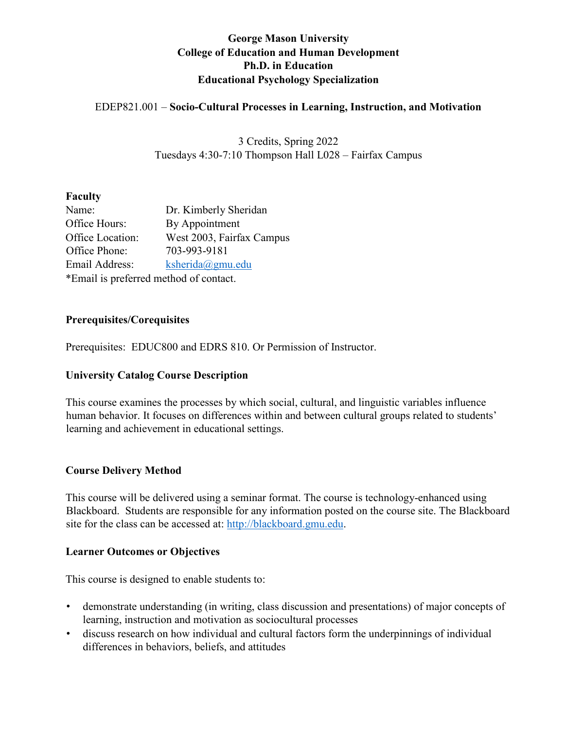## **George Mason University College of Education and Human Development Ph.D. in Education Educational Psychology Specialization**

### EDEP821.001 – **Socio-Cultural Processes in Learning, Instruction, and Motivation**

3 Credits, Spring 2022 Tuesdays 4:30-7:10 Thompson Hall L028 – Fairfax Campus

#### **Faculty**

| Name:                                        | Dr. Kimberly Sheridan     |  |
|----------------------------------------------|---------------------------|--|
| Office Hours:                                | By Appointment            |  |
| Office Location:                             | West 2003, Fairfax Campus |  |
| Office Phone:                                | 703-993-9181              |  |
| $ksherida(\omega gmu.edu)$<br>Email Address: |                           |  |
| *Email is preferred method of contact.       |                           |  |

#### **Prerequisites/Corequisites**

Prerequisites: EDUC800 and EDRS 810. Or Permission of Instructor.

## **University Catalog Course Description**

This course examines the processes by which social, cultural, and linguistic variables influence human behavior. It focuses on differences within and between cultural groups related to students' learning and achievement in educational settings.

## **Course Delivery Method**

This course will be delivered using a seminar format. The course is technology-enhanced using Blackboard. Students are responsible for any information posted on the course site. The Blackboard site for the class can be accessed at: [http://blackboard.gmu.edu.](http://blackboard.gmu.edu/)

#### **Learner Outcomes or Objectives**

This course is designed to enable students to:

- demonstrate understanding (in writing, class discussion and presentations) of major concepts of learning, instruction and motivation as sociocultural processes
- discuss research on how individual and cultural factors form the underpinnings of individual differences in behaviors, beliefs, and attitudes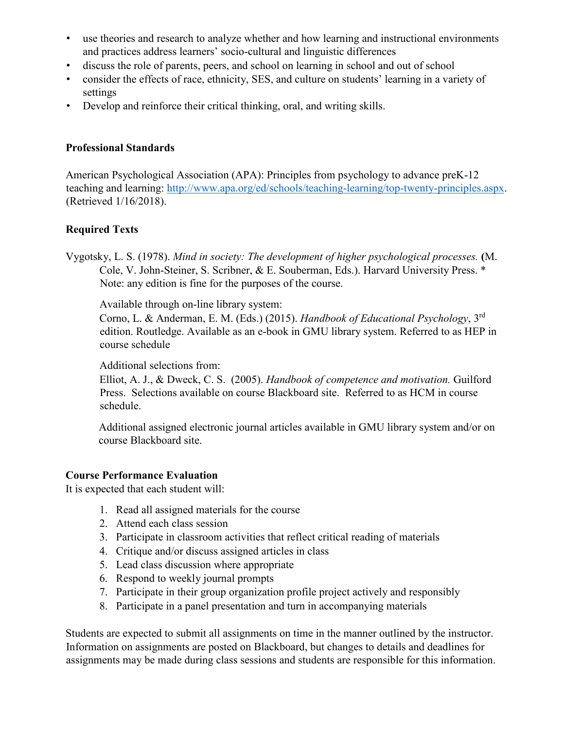- use theories and research to analyze whether and how learning and instructional environments and practices address learners' socio-cultural and linguistic differences
- discuss the role of parents, peers, and school on learning in school and out of school
- consider the effects of race, ethnicity, SES, and culture on students' learning in a variety of settings
- Develop and reinforce their critical thinking, oral, and writing skills.

### **Professional Standards**

American Psychological Association (APA): Principles from psychology to advance preK-12 teaching and learning: [http://www.apa.org/ed/schools/teaching-learning/top-twenty-principles.aspx.](http://www.apa.org/ed/schools/teaching-learning/top-twenty-principles.aspx) (Retrieved 1/16/2018).

## **Required Texts**

Vygotsky, L. S. (1978). *Mind in society: The development of higher psychological processes.* **(**M. Cole, V. John-Steiner, S. Scribner, & E. Souberman, Eds.). Harvard University Press. \* Note: any edition is fine for the purposes of the course.

Available through on-line library system:

Corno, L. & Anderman, E. M. (Eds.) (2015). *Handbook of Educational Psychology*, 3rd edition. Routledge. Available as an e-book in GMU library system. Referred to as HEP in course schedule

Additional selections from:

Elliot, A. J., & Dweck, C. S. (2005). *Handbook of competence and motivation.* Guilford Press. Selections available on course Blackboard site. Referred to as HCM in course schedule.

Additional assigned electronic journal articles available in GMU library system and/or on course Blackboard site.

## **Course Performance Evaluation**

It is expected that each student will:

- 1. Read all assigned materials for the course
- 2. Attend each class session
- 3. Participate in classroom activities that reflect critical reading of materials
- 4. Critique and/or discuss assigned articles in class
- 5. Lead class discussion where appropriate
- 6. Respond to weekly journal prompts
- 7. Participate in their group organization profile project actively and responsibly
- 8. Participate in a panel presentation and turn in accompanying materials

Students are expected to submit all assignments on time in the manner outlined by the instructor. Information on assignments are posted on Blackboard, but changes to details and deadlines for assignments may be made during class sessions and students are responsible for this information.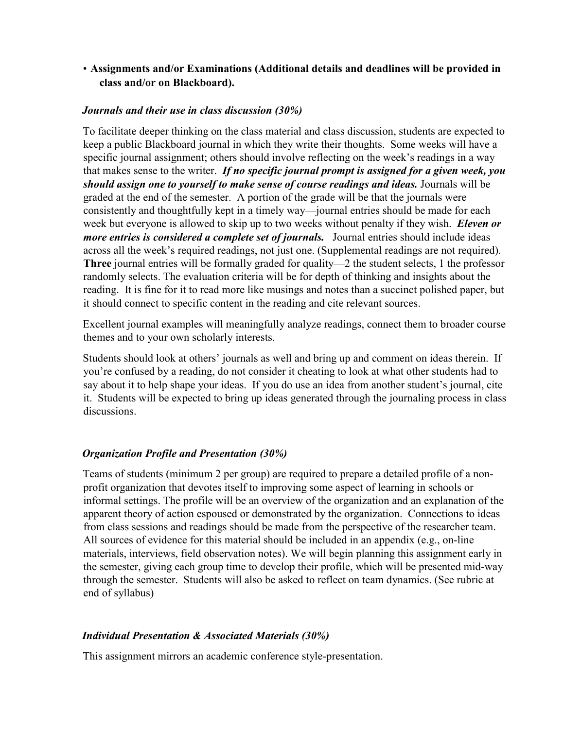## • **Assignments and/or Examinations (Additional details and deadlines will be provided in class and/or on Blackboard).**

## *Journals and their use in class discussion (30%)*

To facilitate deeper thinking on the class material and class discussion, students are expected to keep a public Blackboard journal in which they write their thoughts. Some weeks will have a specific journal assignment; others should involve reflecting on the week's readings in a way that makes sense to the writer. *If no specific journal prompt is assigned for a given week, you should assign one to yourself to make sense of course readings and ideas.* Journals will be graded at the end of the semester. A portion of the grade will be that the journals were consistently and thoughtfully kept in a timely way—journal entries should be made for each week but everyone is allowed to skip up to two weeks without penalty if they wish. *Eleven or more entries is considered a complete set of journals.* Journal entries should include ideas across all the week's required readings, not just one. (Supplemental readings are not required). **Three** journal entries will be formally graded for quality—2 the student selects, 1 the professor randomly selects. The evaluation criteria will be for depth of thinking and insights about the reading. It is fine for it to read more like musings and notes than a succinct polished paper, but it should connect to specific content in the reading and cite relevant sources.

Excellent journal examples will meaningfully analyze readings, connect them to broader course themes and to your own scholarly interests.

Students should look at others' journals as well and bring up and comment on ideas therein. If you're confused by a reading, do not consider it cheating to look at what other students had to say about it to help shape your ideas. If you do use an idea from another student's journal, cite it. Students will be expected to bring up ideas generated through the journaling process in class discussions.

## *Organization Profile and Presentation (30%)*

Teams of students (minimum 2 per group) are required to prepare a detailed profile of a nonprofit organization that devotes itself to improving some aspect of learning in schools or informal settings. The profile will be an overview of the organization and an explanation of the apparent theory of action espoused or demonstrated by the organization. Connections to ideas from class sessions and readings should be made from the perspective of the researcher team. All sources of evidence for this material should be included in an appendix (e.g., on-line materials, interviews, field observation notes). We will begin planning this assignment early in the semester, giving each group time to develop their profile, which will be presented mid-way through the semester. Students will also be asked to reflect on team dynamics. (See rubric at end of syllabus)

## *Individual Presentation & Associated Materials (30%)*

This assignment mirrors an academic conference style-presentation.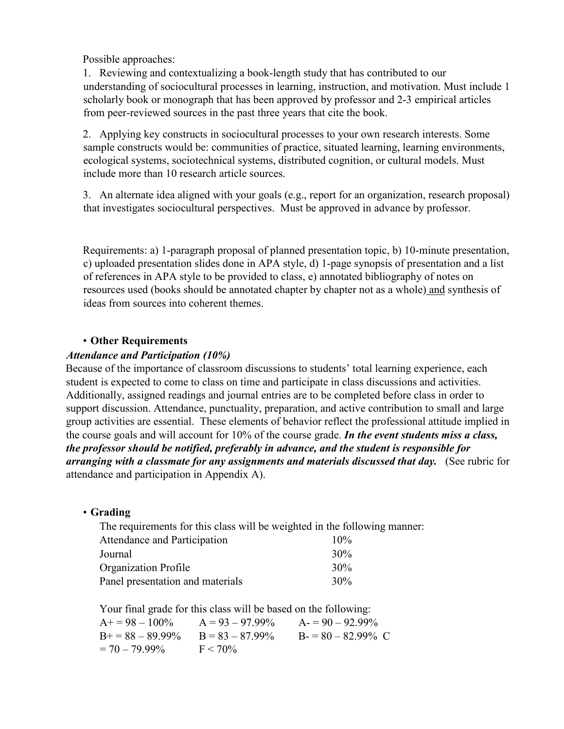Possible approaches:

1. Reviewing and contextualizing a book-length study that has contributed to our understanding of sociocultural processes in learning, instruction, and motivation. Must include 1 scholarly book or monograph that has been approved by professor and 2-3 empirical articles from peer-reviewed sources in the past three years that cite the book.

2. Applying key constructs in sociocultural processes to your own research interests. Some sample constructs would be: communities of practice, situated learning, learning environments, ecological systems, sociotechnical systems, distributed cognition, or cultural models. Must include more than 10 research article sources.

3. An alternate idea aligned with your goals (e.g., report for an organization, research proposal) that investigates sociocultural perspectives. Must be approved in advance by professor.

Requirements: a) 1-paragraph proposal of planned presentation topic, b) 10-minute presentation, c) uploaded presentation slides done in APA style, d) 1-page synopsis of presentation and a list of references in APA style to be provided to class, e) annotated bibliography of notes on resources used (books should be annotated chapter by chapter not as a whole) and synthesis of ideas from sources into coherent themes.

#### • **Other Requirements**

#### *Attendance and Participation (10%)*

Because of the importance of classroom discussions to students' total learning experience, each student is expected to come to class on time and participate in class discussions and activities. Additionally, assigned readings and journal entries are to be completed before class in order to support discussion. Attendance, punctuality, preparation, and active contribution to small and large group activities are essential. These elements of behavior reflect the professional attitude implied in the course goals and will account for 10% of the course grade. *In the event students miss a class, the professor should be notified, preferably in advance, and the student is responsible for arranging with a classmate for any assignments and materials discussed that day.*(See rubric for attendance and participation in Appendix A).

## • **Grading**

The requirements for this class will be weighted in the following manner:

| Attendance and Participation     | 10% |
|----------------------------------|-----|
| Journal                          | 30% |
| Organization Profile             | 30% |
| Panel presentation and materials | 30% |

Your final grade for this class will be based on the following:  $A+= 98 - 100\%$   $A= 93 - 97.99\%$   $A=- 90 - 92.99\%$  $B_0^+ = 88 - 89.99\%$  B = 83 – 87.99% B = 80 – 82.99% C  $= 70 - 79.99\%$  F < 70%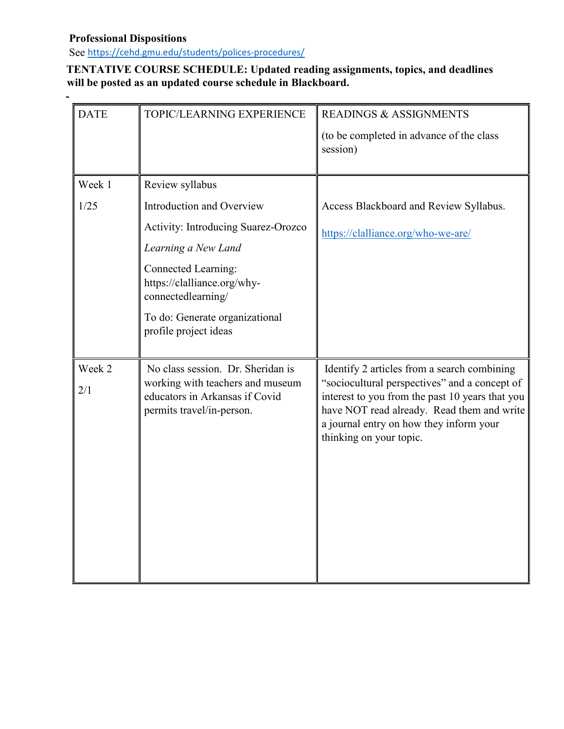# **Professional Dispositions**

**-**

See <https://cehd.gmu.edu/students/polices-procedures/>

## **TENTATIVE COURSE SCHEDULE: Updated reading assignments, topics, and deadlines will be posted as an updated course schedule in Blackboard.**

| <b>DATE</b>   | TOPIC/LEARNING EXPERIENCE                                                                                                            | <b>READINGS &amp; ASSIGNMENTS</b>                                                                                                                                                                                                                                   |  |
|---------------|--------------------------------------------------------------------------------------------------------------------------------------|---------------------------------------------------------------------------------------------------------------------------------------------------------------------------------------------------------------------------------------------------------------------|--|
|               |                                                                                                                                      | (to be completed in advance of the class<br>session)                                                                                                                                                                                                                |  |
| Week 1        | Review syllabus                                                                                                                      |                                                                                                                                                                                                                                                                     |  |
| 1/25          | Introduction and Overview                                                                                                            | Access Blackboard and Review Syllabus.                                                                                                                                                                                                                              |  |
|               | Activity: Introducing Suarez-Orozco                                                                                                  | https://clalliance.org/who-we-are/                                                                                                                                                                                                                                  |  |
|               | Learning a New Land                                                                                                                  |                                                                                                                                                                                                                                                                     |  |
|               | <b>Connected Learning:</b><br>https://clalliance.org/why-<br>connectedlearning/                                                      |                                                                                                                                                                                                                                                                     |  |
|               | To do: Generate organizational<br>profile project ideas                                                                              |                                                                                                                                                                                                                                                                     |  |
| Week 2<br>2/1 | No class session. Dr. Sheridan is<br>working with teachers and museum<br>educators in Arkansas if Covid<br>permits travel/in-person. | Identify 2 articles from a search combining<br>"sociocultural perspectives" and a concept of<br>interest to you from the past 10 years that you<br>have NOT read already. Read them and write<br>a journal entry on how they inform your<br>thinking on your topic. |  |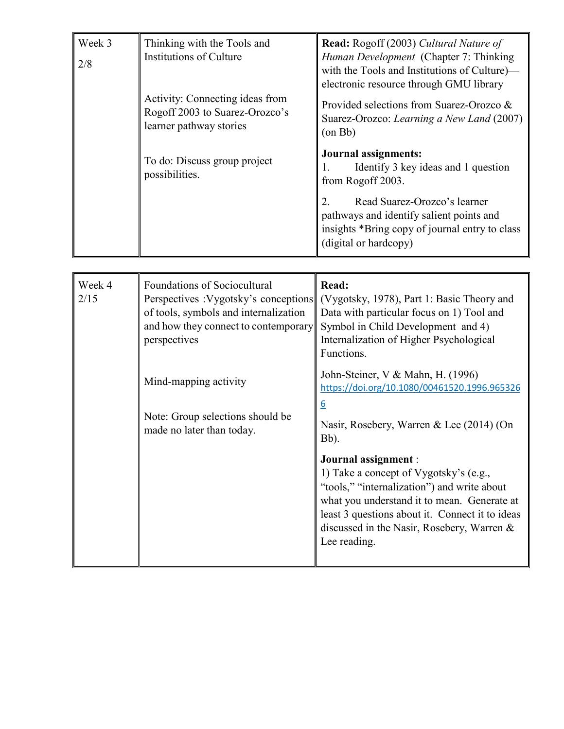| Week 3<br>2/8 | Thinking with the Tools and<br>Institutions of Culture                                       | <b>Read:</b> Rogoff (2003) Cultural Nature of<br>Human Development (Chapter 7: Thinking<br>with the Tools and Institutions of Culture)—<br>electronic resource through GMU library |  |
|---------------|----------------------------------------------------------------------------------------------|------------------------------------------------------------------------------------------------------------------------------------------------------------------------------------|--|
|               | Activity: Connecting ideas from<br>Rogoff 2003 to Suarez-Orozco's<br>learner pathway stories | Provided selections from Suarez-Orozco &<br>Suarez-Orozco: <i>Learning a New Land</i> (2007)<br>$($ on Bb $)$                                                                      |  |
|               | To do: Discuss group project<br>possibilities.                                               | Journal assignments:<br>Identify 3 key ideas and 1 question<br>from Rogoff 2003.                                                                                                   |  |
|               |                                                                                              | Read Suarez-Orozco's learner<br>2.<br>pathways and identify salient points and<br>insights *Bring copy of journal entry to class<br>(digital or hardcopy)                          |  |

| Week 4<br>2/15 | Foundations of Sociocultural<br>of tools, symbols and internalization<br>and how they connect to contemporary<br>perspectives | Read:<br>Perspectives : Vygotsky's conceptions (Vygotsky, 1978), Part 1: Basic Theory and<br>Data with particular focus on 1) Tool and<br>Symbol in Child Development and 4)<br>Internalization of Higher Psychological<br>Functions.                                         |
|----------------|-------------------------------------------------------------------------------------------------------------------------------|-------------------------------------------------------------------------------------------------------------------------------------------------------------------------------------------------------------------------------------------------------------------------------|
|                | Mind-mapping activity<br>Note: Group selections should be<br>made no later than today.                                        | John-Steiner, V & Mahn, H. (1996)<br>https://doi.org/10.1080/00461520.1996.965326<br>$\underline{6}$<br>Nasir, Rosebery, Warren & Lee (2014) (On<br>Bb).                                                                                                                      |
|                |                                                                                                                               | Journal assignment :<br>1) Take a concept of Vygotsky's (e.g.,<br>"tools," "internalization") and write about<br>what you understand it to mean. Generate at<br>least 3 questions about it. Connect it to ideas<br>discussed in the Nasir, Rosebery, Warren &<br>Lee reading. |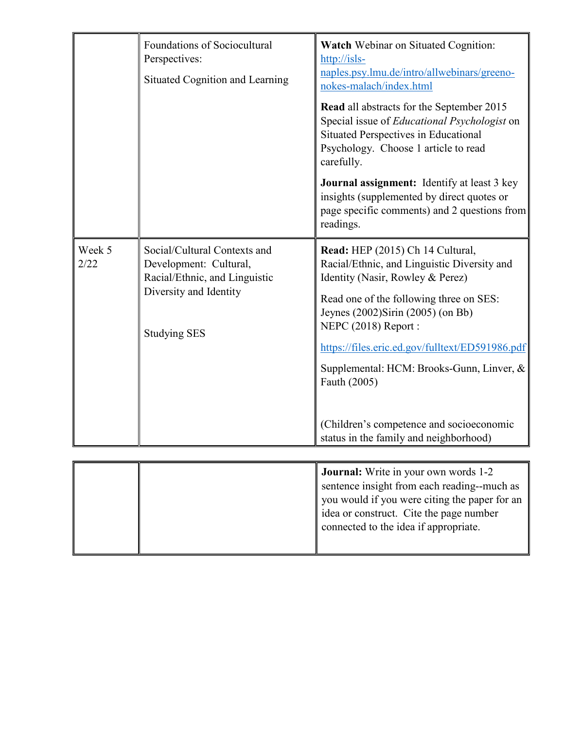|                | Foundations of Sociocultural<br>Perspectives:<br>Situated Cognition and Learning                                                         | <b>Watch</b> Webinar on Situated Cognition:<br>http://isls-<br>naples.psy.lmu.de/intro/allwebinars/greeno-<br>nokes-malach/index.html<br>Read all abstracts for the September 2015<br>Special issue of Educational Psychologist on<br>Situated Perspectives in Educational<br>Psychology. Choose 1 article to read<br>carefully.                                                        |  |
|----------------|------------------------------------------------------------------------------------------------------------------------------------------|-----------------------------------------------------------------------------------------------------------------------------------------------------------------------------------------------------------------------------------------------------------------------------------------------------------------------------------------------------------------------------------------|--|
|                |                                                                                                                                          | <b>Journal assignment:</b> Identify at least 3 key<br>insights (supplemented by direct quotes or<br>page specific comments) and 2 questions from<br>readings.                                                                                                                                                                                                                           |  |
| Week 5<br>2/22 | Social/Cultural Contexts and<br>Development: Cultural,<br>Racial/Ethnic, and Linguistic<br>Diversity and Identity<br><b>Studying SES</b> | Read: HEP (2015) Ch 14 Cultural,<br>Racial/Ethnic, and Linguistic Diversity and<br>Identity (Nasir, Rowley & Perez)<br>Read one of the following three on SES:<br>Jeynes (2002) Sirin (2005) (on Bb)<br>NEPC (2018) Report:<br>https://files.eric.ed.gov/fulltext/ED591986.pdf<br>Supplemental: HCM: Brooks-Gunn, Linver, &<br>Fauth (2005)<br>(Children's competence and socioeconomic |  |
|                |                                                                                                                                          | status in the family and neighborhood)                                                                                                                                                                                                                                                                                                                                                  |  |
|                |                                                                                                                                          | Journal: Write in your own words 1-2<br>sentence insight from each reading--much as<br>you would if you were citing the paper for an<br>idea or construct. Cite the page number                                                                                                                                                                                                         |  |

connected to the idea if appropriate.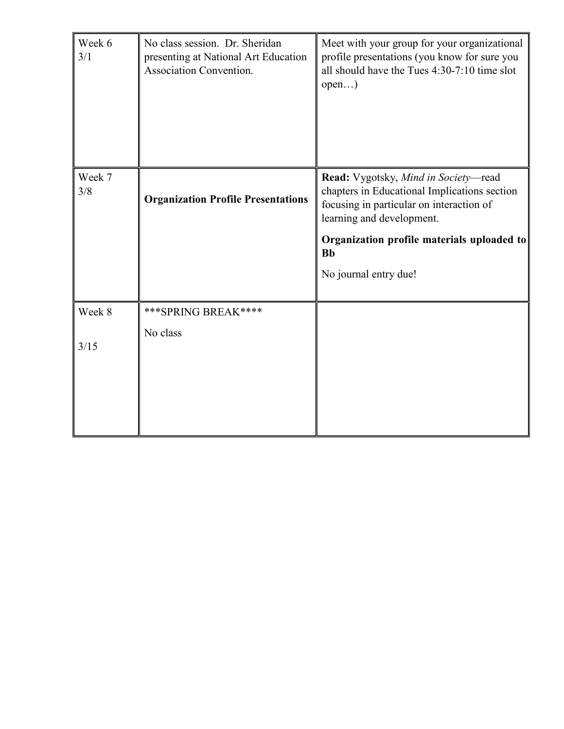| Week 6<br>3/1 | No class session. Dr. Sheridan<br>presenting at National Art Education<br>Association Convention. | Meet with your group for your organizational<br>profile presentations (you know for sure you<br>all should have the Tues 4:30-7:10 time slot<br>open)                                                                                             |  |
|---------------|---------------------------------------------------------------------------------------------------|---------------------------------------------------------------------------------------------------------------------------------------------------------------------------------------------------------------------------------------------------|--|
| Week 7<br>3/8 | <b>Organization Profile Presentations</b>                                                         | Read: Vygotsky, Mind in Society-read<br>chapters in Educational Implications section<br>focusing in particular on interaction of<br>learning and development.<br>Organization profile materials uploaded to<br><b>Bb</b><br>No journal entry due! |  |
| Week 8        | *** SPRING BREAK****                                                                              |                                                                                                                                                                                                                                                   |  |
| 3/15          | No class                                                                                          |                                                                                                                                                                                                                                                   |  |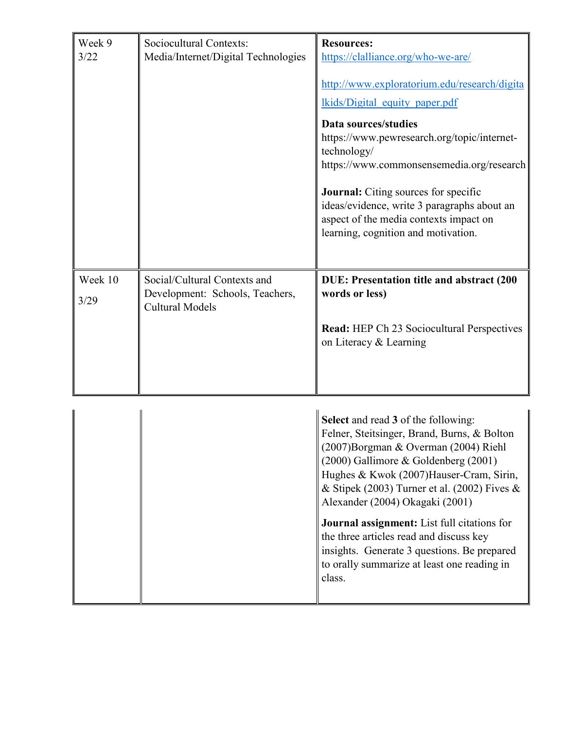| Week 9<br>3/22  | Sociocultural Contexts:<br>Media/Internet/Digital Technologies                            | <b>Resources:</b><br>https://clalliance.org/who-we-are/<br>http://www.exploratorium.edu/research/digita<br><u>lkids/Digital equity paper.pdf</u><br>Data sources/studies<br>https://www.pewresearch.org/topic/internet-<br>technology/<br>https://www.commonsensemedia.org/research<br><b>Journal:</b> Citing sources for specific<br>ideas/evidence, write 3 paragraphs about an<br>aspect of the media contexts impact on<br>learning, cognition and motivation. |
|-----------------|-------------------------------------------------------------------------------------------|--------------------------------------------------------------------------------------------------------------------------------------------------------------------------------------------------------------------------------------------------------------------------------------------------------------------------------------------------------------------------------------------------------------------------------------------------------------------|
| Week 10<br>3/29 | Social/Cultural Contexts and<br>Development: Schools, Teachers,<br><b>Cultural Models</b> | DUE: Presentation title and abstract (200<br>words or less)<br><b>Read:</b> HEP Ch 23 Sociocultural Perspectives<br>on Literacy & Learning                                                                                                                                                                                                                                                                                                                         |

|  | <b>Select</b> and read 3 of the following:<br>Felner, Steitsinger, Brand, Burns, & Bolton<br>(2007)Borgman & Overman (2004) Riehl<br>$(2000)$ Gallimore & Goldenberg $(2001)$<br>Hughes & Kwok (2007) Hauser-Cram, Sirin,<br>& Stipek (2003) Turner et al. (2002) Fives &<br>Alexander (2004) Okagaki (2001) |
|--|--------------------------------------------------------------------------------------------------------------------------------------------------------------------------------------------------------------------------------------------------------------------------------------------------------------|
|  | <b>Journal assignment:</b> List full citations for<br>the three articles read and discuss key<br>insights. Generate 3 questions. Be prepared<br>to orally summarize at least one reading in<br>class.                                                                                                        |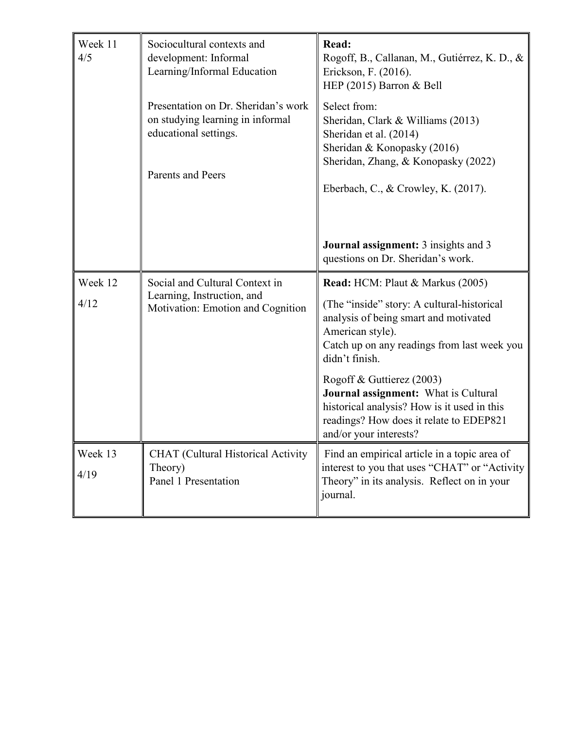| Week 11<br>4/5  | Sociocultural contexts and<br>development: Informal<br>Learning/Informal Education                                           | Read:<br>Rogoff, B., Callanan, M., Gutiérrez, K. D., &<br>Erickson, F. (2016).<br>HEP (2015) Barron & Bell                                                                                                   |  |
|-----------------|------------------------------------------------------------------------------------------------------------------------------|--------------------------------------------------------------------------------------------------------------------------------------------------------------------------------------------------------------|--|
|                 | Presentation on Dr. Sheridan's work<br>on studying learning in informal<br>educational settings.<br><b>Parents and Peers</b> | Select from:<br>Sheridan, Clark & Williams (2013)<br>Sheridan et al. (2014)<br>Sheridan & Konopasky (2016)<br>Sheridan, Zhang, & Konopasky (2022)<br>Eberbach, C., & Crowley, K. $(2017)$ .                  |  |
|                 |                                                                                                                              | <b>Journal assignment:</b> 3 insights and 3<br>questions on Dr. Sheridan's work.                                                                                                                             |  |
| Week 12<br>4/12 | Social and Cultural Context in<br>Learning, Instruction, and<br>Motivation: Emotion and Cognition                            | Read: HCM: Plaut & Markus (2005)<br>(The "inside" story: A cultural-historical<br>analysis of being smart and motivated<br>American style).<br>Catch up on any readings from last week you<br>didn't finish. |  |
|                 |                                                                                                                              | Rogoff & Guttierez (2003)<br>Journal assignment: What is Cultural<br>historical analysis? How is it used in this<br>readings? How does it relate to EDEP821<br>and/or your interests?                        |  |
| Week 13<br>4/19 | <b>CHAT</b> (Cultural Historical Activity<br>Theory)<br>Panel 1 Presentation                                                 | Find an empirical article in a topic area of<br>interest to you that uses "CHAT" or "Activity<br>Theory" in its analysis. Reflect on in your<br>journal.                                                     |  |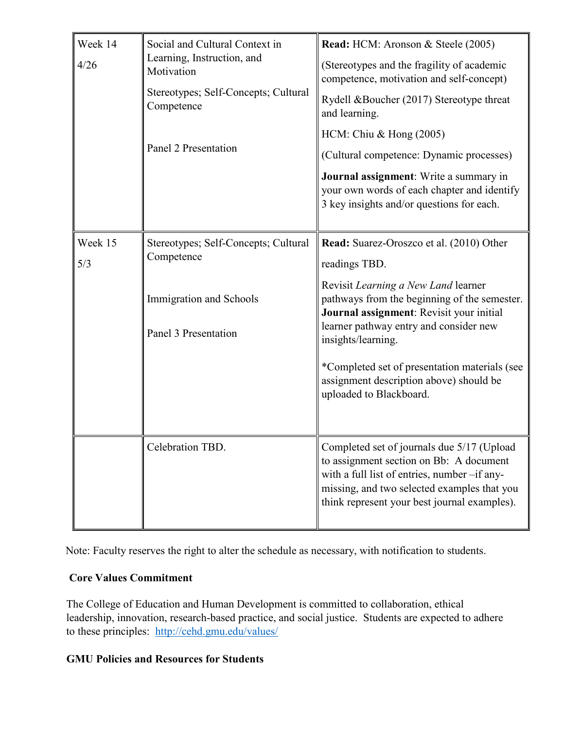| Week 14<br>4/26 | Social and Cultural Context in<br>Learning, Instruction, and<br>Motivation<br>Stereotypes; Self-Concepts; Cultural<br>Competence<br>Panel 2 Presentation | Read: HCM: Aronson & Steele (2005)<br>(Stereotypes and the fragility of academic<br>competence, motivation and self-concept)<br>Rydell &Boucher (2017) Stereotype threat<br>and learning.<br>HCM: Chiu & Hong (2005)<br>(Cultural competence: Dynamic processes)<br>Journal assignment: Write a summary in<br>your own words of each chapter and identify<br>3 key insights and/or questions for each. |
|-----------------|----------------------------------------------------------------------------------------------------------------------------------------------------------|--------------------------------------------------------------------------------------------------------------------------------------------------------------------------------------------------------------------------------------------------------------------------------------------------------------------------------------------------------------------------------------------------------|
| Week 15<br>5/3  | Stereotypes; Self-Concepts; Cultural<br>Competence<br>Immigration and Schools<br>Panel 3 Presentation                                                    | Read: Suarez-Oroszco et al. (2010) Other<br>readings TBD.<br>Revisit Learning a New Land learner<br>pathways from the beginning of the semester.<br>Journal assignment: Revisit your initial<br>learner pathway entry and consider new<br>insights/learning.<br>*Completed set of presentation materials (see<br>assignment description above) should be<br>uploaded to Blackboard.                    |
|                 | Celebration TBD.                                                                                                                                         | Completed set of journals due 5/17 (Upload<br>to assignment section on Bb: A document<br>with a full list of entries, number -if any-<br>missing, and two selected examples that you<br>think represent your best journal examples).                                                                                                                                                                   |

Note: Faculty reserves the right to alter the schedule as necessary, with notification to students.

## **Core Values Commitment**

The College of Education and Human Development is committed to collaboration, ethical leadership, innovation, research-based practice, and social justice. Students are expected to adhere to these principles: <http://cehd.gmu.edu/values/>

## **GMU Policies and Resources for Students**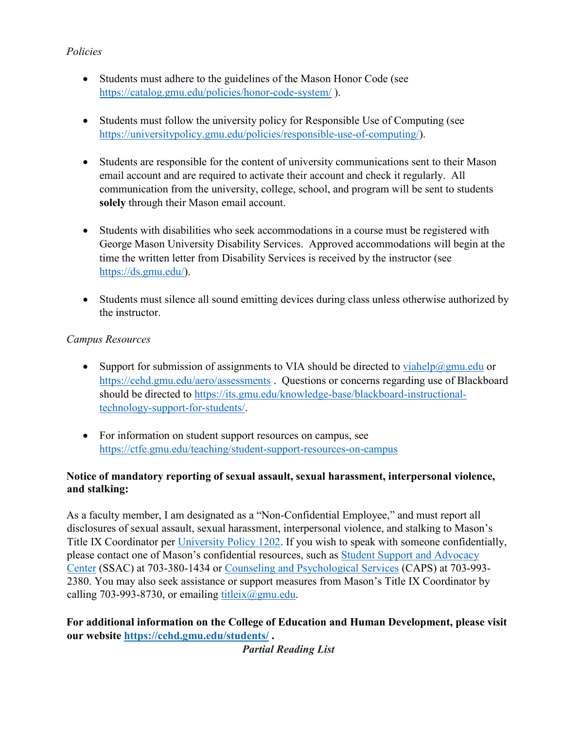## *Policies*

- Students must adhere to the guidelines of the Mason Honor Code (see <https://catalog.gmu.edu/policies/honor-code-system/> ).
- Students must follow the university policy for Responsible Use of Computing (see [https://universitypolicy.gmu.edu/policies/responsible-use-of-computing/\)](https://universitypolicy.gmu.edu/policies/responsible-use-of-computing/).
- Students are responsible for the content of university communications sent to their Mason email account and are required to activate their account and check it regularly. All communication from the university, college, school, and program will be sent to students **solely** through their Mason email account.
- Students with disabilities who seek accommodations in a course must be registered with George Mason University Disability Services. Approved accommodations will begin at the time the written letter from Disability Services is received by the instructor (see [https://ds.gmu.edu/\)](https://ds.gmu.edu/).
- Students must silence all sound emitting devices during class unless otherwise authorized by the instructor.

## *Campus Resources*

- Support for submission of assignments to VIA should be directed to [viahelp@gmu.edu](mailto:viahelp@gmu.edu) or <https://cehd.gmu.edu/aero/assessments> . Questions or concerns regarding use of Blackboard should be directed to [https://its.gmu.edu/knowledge-base/blackboard-instructional](https://its.gmu.edu/knowledge-base/blackboard-instructional-technology-support-for-students/)[technology-support-for-students/.](https://its.gmu.edu/knowledge-base/blackboard-instructional-technology-support-for-students/)
- For information on student support resources on campus, see <https://ctfe.gmu.edu/teaching/student-support-resources-on-campus>

## **Notice of mandatory reporting of sexual assault, sexual harassment, interpersonal violence, and stalking:**

As a faculty member, I am designated as a "Non-Confidential Employee," and must report all disclosures of sexual assault, sexual harassment, interpersonal violence, and stalking to Mason's Title IX Coordinator per [University Policy 1202.](https://universitypolicy.gmu.edu/policies/sexual-harassment-policy/) If you wish to speak with someone confidentially, please contact one of Mason's confidential resources, such as [Student Support and Advocacy](https://ssac.gmu.edu/)  [Center](https://ssac.gmu.edu/) (SSAC) at 703-380-1434 or [Counseling and Psychological Services](https://caps.gmu.edu/) (CAPS) at 703-993- 2380. You may also seek assistance or support measures from Mason's Title IX Coordinator by calling 703-993-8730, or emailing titleix $@g$ mu.edu.

## **For additional information on the College of Education and Human Development, please visit our website<https://cehd.gmu.edu/students/> .**

*Partial Reading List*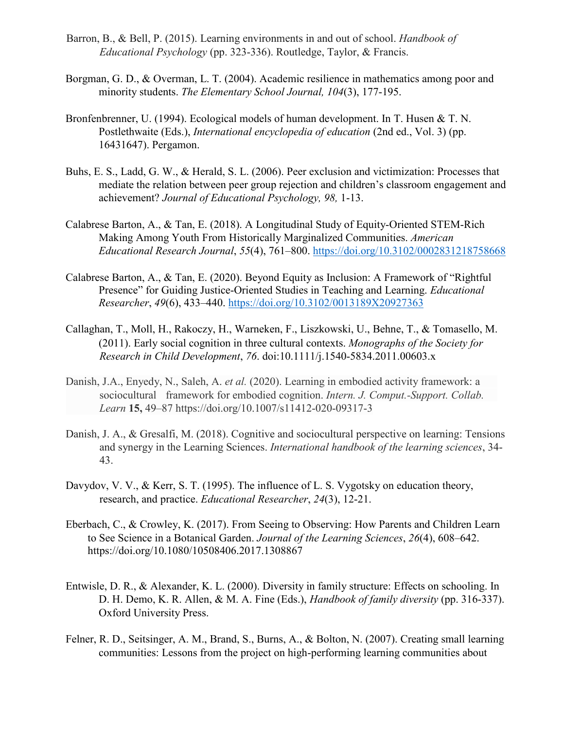- Barron, B., & Bell, P. (2015). Learning environments in and out of school. *Handbook of Educational Psychology* (pp. 323-336). Routledge, Taylor, & Francis.
- Borgman, G. D., & Overman, L. T. (2004). Academic resilience in mathematics among poor and minority students. *The Elementary School Journal, 104*(3), 177-195.
- Bronfenbrenner, U. (1994). Ecological models of human development. In T. Husen & T. N. Postlethwaite (Eds.), *International encyclopedia of education* (2nd ed., Vol. 3) (pp. 16431647). Pergamon.
- Buhs, E. S., Ladd, G. W., & Herald, S. L. (2006). Peer exclusion and victimization: Processes that mediate the relation between peer group rejection and children's classroom engagement and achievement? *Journal of Educational Psychology, 98,* 1-13.
- Calabrese Barton, A., & Tan, E. (2018). A Longitudinal Study of Equity-Oriented STEM-Rich Making Among Youth From Historically Marginalized Communities. *American Educational Research Journal*, *55*(4), 761–800.<https://doi.org/10.3102/0002831218758668>
- Calabrese Barton, A., & Tan, E. (2020). Beyond Equity as Inclusion: A Framework of "Rightful Presence" for Guiding Justice-Oriented Studies in Teaching and Learning. *Educational Researcher*, *49*(6), 433–440.<https://doi.org/10.3102/0013189X20927363>
- Callaghan, T., Moll, H., Rakoczy, H., Warneken, F., Liszkowski, U., Behne, T., & Tomasello, M. (2011). Early social cognition in three cultural contexts. *Monographs of the Society for Research in Child Development*, *76*. doi:10.1111/j.1540-5834.2011.00603.x
- Danish, J.A., Enyedy, N., Saleh, A. *et al.* (2020). Learning in embodied activity framework: a sociocultural framework for embodied cognition. *Intern. J. Comput.-Support. Collab. Learn* **15,** 49–87 https://doi.org/10.1007/s11412-020-09317-3
- Danish, J. A., & Gresalfi, M. (2018). Cognitive and sociocultural perspective on learning: Tensions and synergy in the Learning Sciences. *International handbook of the learning sciences*, 34- 43.
- Davydov, V. V., & Kerr, S. T. (1995). The influence of L. S. Vygotsky on education theory, research, and practice. *Educational Researcher*, *24*(3), 12-21.
- Eberbach, C., & Crowley, K. (2017). From Seeing to Observing: How Parents and Children Learn to See Science in a Botanical Garden. *Journal of the Learning Sciences*, *26*(4), 608–642. https://doi.org/10.1080/10508406.2017.1308867
- Entwisle, D. R., & Alexander, K. L. (2000). Diversity in family structure: Effects on schooling. In D. H. Demo, K. R. Allen, & M. A. Fine (Eds.), *Handbook of family diversity* (pp. 316-337). Oxford University Press.
- Felner, R. D., Seitsinger, A. M., Brand, S., Burns, A., & Bolton, N. (2007). Creating small learning communities: Lessons from the project on high-performing learning communities about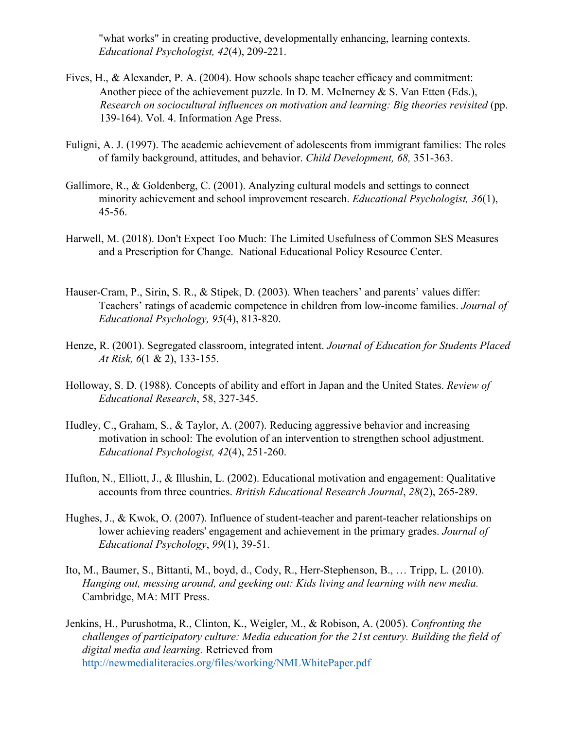"what works" in creating productive, developmentally enhancing, learning contexts. *Educational Psychologist, 42*(4), 209-221.

- Fives, H., & Alexander, P. A. (2004). How schools shape teacher efficacy and commitment: Another piece of the achievement puzzle. In D. M. McInerney & S. Van Etten (Eds.), *Research on sociocultural influences on motivation and learning: Big theories revisited (pp.* 139-164). Vol. 4. Information Age Press.
- Fuligni, A. J. (1997). The academic achievement of adolescents from immigrant families: The roles of family background, attitudes, and behavior. *Child Development, 68,* 351-363.
- Gallimore, R., & Goldenberg, C. (2001). Analyzing cultural models and settings to connect minority achievement and school improvement research. *Educational Psychologist, 36*(1), 45-56.
- Harwell, M. (2018). Don't Expect Too Much: The Limited Usefulness of Common SES Measures and a Prescription for Change. National Educational Policy Resource Center.
- Hauser-Cram, P., Sirin, S. R., & Stipek, D. (2003). When teachers' and parents' values differ: Teachers' ratings of academic competence in children from low-income families. *Journal of Educational Psychology, 95*(4), 813-820.
- Henze, R. (2001). Segregated classroom, integrated intent. *Journal of Education for Students Placed At Risk, 6*(1 & 2), 133-155.
- Holloway, S. D. (1988). Concepts of ability and effort in Japan and the United States. *Review of Educational Research*, 58, 327-345.
- Hudley, C., Graham, S., & Taylor, A. (2007). Reducing aggressive behavior and increasing motivation in school: The evolution of an intervention to strengthen school adjustment. *Educational Psychologist, 42*(4), 251-260.
- Hufton, N., Elliott, J., & Illushin, L. (2002). Educational motivation and engagement: Qualitative accounts from three countries. *British Educational Research Journal*, *28*(2), 265-289.
- Hughes, J., & Kwok, O. (2007). Influence of student-teacher and parent-teacher relationships on lower achieving readers' engagement and achievement in the primary grades. *Journal of Educational Psychology*, *99*(1), 39-51.
- Ito, M., Baumer, S., Bittanti, M., boyd, d., Cody, R., Herr-Stephenson, B., … Tripp, L. (2010). *Hanging out, messing around, and geeking out: Kids living and learning with new media.* Cambridge, MA: MIT Press.
- Jenkins, H., Purushotma, R., Clinton, K., Weigler, M., & Robison, A. (2005). *Confronting the challenges of participatory culture: Media education for the 21st century. Building the field of digital media and learning.* Retrieved from <http://newmedialiteracies.org/files/working/NMLWhitePaper.pdf>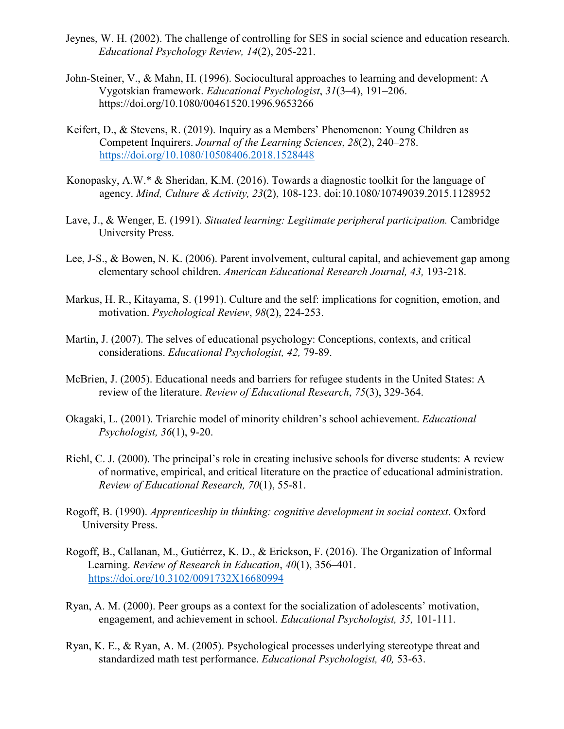- Jeynes, W. H. (2002). The challenge of controlling for SES in social science and education research. *Educational Psychology Review, 14*(2), 205-221.
- John-Steiner, V., & Mahn, H. (1996). Sociocultural approaches to learning and development: A Vygotskian framework. *Educational Psychologist*, *31*(3–4), 191–206. https://doi.org/10.1080/00461520.1996.9653266
- Keifert, D., & Stevens, R. (2019). Inquiry as a Members' Phenomenon: Young Children as Competent Inquirers. *Journal of the Learning Sciences*, *28*(2), 240–278. <https://doi.org/10.1080/10508406.2018.1528448>
- Konopasky, A.W.\* & Sheridan, K.M. (2016). Towards a diagnostic toolkit for the language of agency. *Mind, Culture & Activity, 23*(2), 108-123. doi:10.1080/10749039.2015.1128952
- Lave, J., & Wenger, E. (1991). *Situated learning: Legitimate peripheral participation.* Cambridge University Press.
- Lee, J-S., & Bowen, N. K. (2006). Parent involvement, cultural capital, and achievement gap among elementary school children. *American Educational Research Journal, 43,* 193-218.
- Markus, H. R., Kitayama, S. (1991). Culture and the self: implications for cognition, emotion, and motivation. *Psychological Review*, *98*(2), 224-253.
- Martin, J. (2007). The selves of educational psychology: Conceptions, contexts, and critical considerations. *Educational Psychologist, 42,* 79-89.
- McBrien, J. (2005). Educational needs and barriers for refugee students in the United States: A review of the literature. *Review of Educational Research*, *75*(3), 329-364.
- Okagaki, L. (2001). Triarchic model of minority children's school achievement. *Educational Psychologist, 36*(1), 9-20.
- Riehl, C. J. (2000). The principal's role in creating inclusive schools for diverse students: A review of normative, empirical, and critical literature on the practice of educational administration. *Review of Educational Research, 70*(1), 55-81.
- Rogoff, B. (1990). *Apprenticeship in thinking: cognitive development in social context*. Oxford University Press.
- Rogoff, B., Callanan, M., Gutiérrez, K. D., & Erickson, F. (2016). The Organization of Informal Learning. *Review of Research in Education*, *40*(1), 356–401. <https://doi.org/10.3102/0091732X16680994>
- Ryan, A. M. (2000). Peer groups as a context for the socialization of adolescents' motivation, engagement, and achievement in school. *Educational Psychologist, 35,* 101-111.
- Ryan, K. E., & Ryan, A. M. (2005). Psychological processes underlying stereotype threat and standardized math test performance. *Educational Psychologist, 40,* 53-63.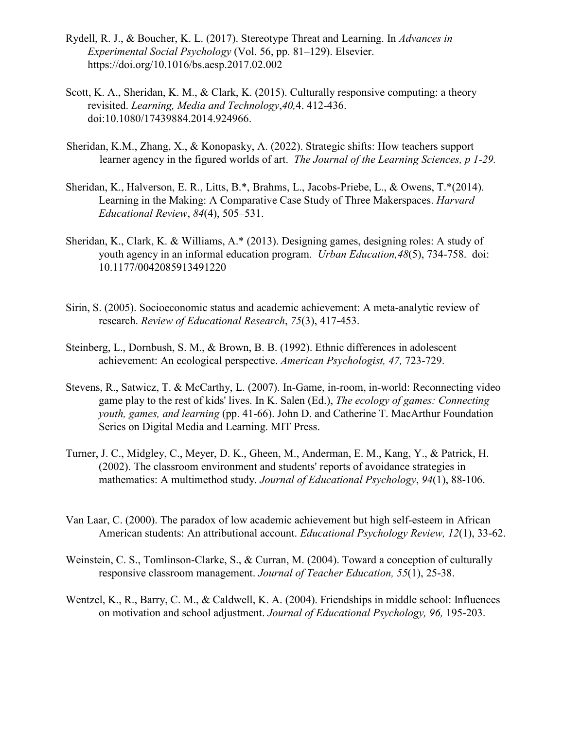- Rydell, R. J., & Boucher, K. L. (2017). Stereotype Threat and Learning. In *Advances in Experimental Social Psychology* (Vol. 56, pp. 81–129). Elsevier. https://doi.org/10.1016/bs.aesp.2017.02.002
- Scott, K. A., Sheridan, K. M., & Clark, K. (2015). Culturally responsive computing: a theory revisited. *Learning, Media and Technology*,*40,*4. 412-436. doi:10.1080/17439884.2014.924966.
- Sheridan, K.M., Zhang, X., & Konopasky, A. (2022). Strategic shifts: How teachers support learner agency in the figured worlds of art. *The Journal of the Learning Sciences, p 1-29.*
- Sheridan, K., Halverson, E. R., Litts, B.\*, Brahms, L., Jacobs-Priebe, L., & Owens, T.\*(2014). Learning in the Making: A Comparative Case Study of Three Makerspaces. *Harvard Educational Review*, *84*(4), 505–531.
- Sheridan, K., Clark, K. & Williams, A.\* (2013). Designing games, designing roles: A study of youth agency in an informal education program. *Urban Education,48*(5), 734-758. doi: 10.1177/0042085913491220
- Sirin, S. (2005). Socioeconomic status and academic achievement: A meta-analytic review of research. *Review of Educational Research*, *75*(3), 417-453.
- Steinberg, L., Dornbush, S. M., & Brown, B. B. (1992). Ethnic differences in adolescent achievement: An ecological perspective. *American Psychologist, 47,* 723-729.
- Stevens, R., Satwicz, T. & McCarthy, L. (2007). In-Game, in-room, in-world: Reconnecting video game play to the rest of kids' lives. In K. Salen (Ed.), *The ecology of games: Connecting youth, games, and learning* (pp. 41-66). John D. and Catherine T. MacArthur Foundation Series on Digital Media and Learning. MIT Press.
- Turner, J. C., Midgley, C., Meyer, D. K., Gheen, M., Anderman, E. M., Kang, Y., & Patrick, H. (2002). The classroom environment and students' reports of avoidance strategies in mathematics: A multimethod study. *Journal of Educational Psychology*, *94*(1), 88-106.
- Van Laar, C. (2000). The paradox of low academic achievement but high self-esteem in African American students: An attributional account. *Educational Psychology Review, 12*(1), 33-62.
- Weinstein, C. S., Tomlinson-Clarke, S., & Curran, M. (2004). Toward a conception of culturally responsive classroom management. *Journal of Teacher Education, 55*(1), 25-38.
- Wentzel, K., R., Barry, C. M., & Caldwell, K. A. (2004). Friendships in middle school: Influences on motivation and school adjustment. *Journal of Educational Psychology, 96,* 195-203.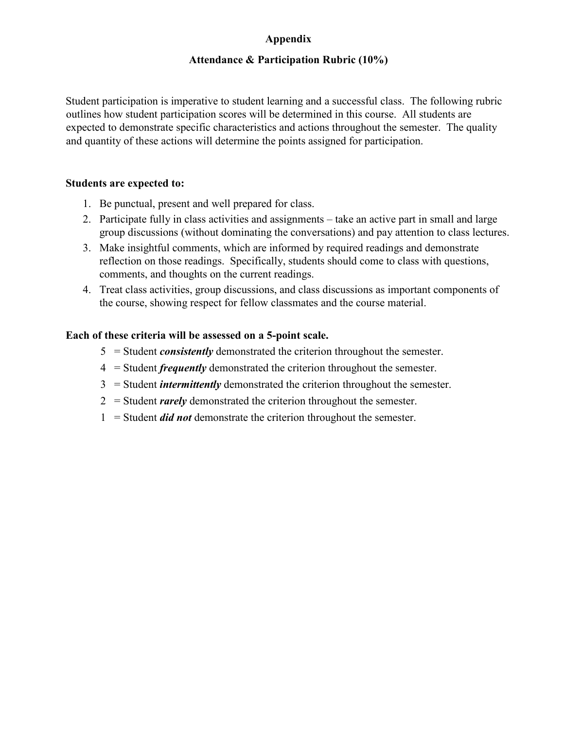## **Appendix**

#### **Attendance & Participation Rubric (10%)**

Student participation is imperative to student learning and a successful class. The following rubric outlines how student participation scores will be determined in this course. All students are expected to demonstrate specific characteristics and actions throughout the semester. The quality and quantity of these actions will determine the points assigned for participation.

#### **Students are expected to:**

- 1. Be punctual, present and well prepared for class.
- 2. Participate fully in class activities and assignments take an active part in small and large group discussions (without dominating the conversations) and pay attention to class lectures.
- 3. Make insightful comments, which are informed by required readings and demonstrate reflection on those readings. Specifically, students should come to class with questions, comments, and thoughts on the current readings.
- 4. Treat class activities, group discussions, and class discussions as important components of the course, showing respect for fellow classmates and the course material.

#### **Each of these criteria will be assessed on a 5-point scale.**

- 5 = Student *consistently* demonstrated the criterion throughout the semester.
- 4 = Student *frequently* demonstrated the criterion throughout the semester.
- 3 = Student *intermittently* demonstrated the criterion throughout the semester.
- 2 = Student *rarely* demonstrated the criterion throughout the semester.
- 1 = Student *did not* demonstrate the criterion throughout the semester.